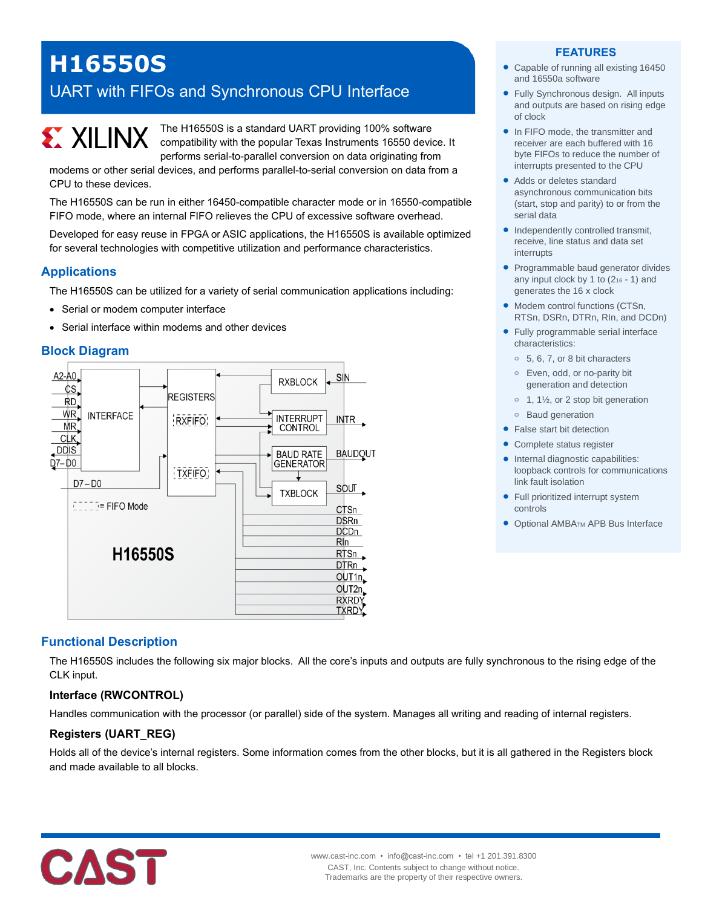# **H16550S**

# UART with FIFOs and Synchronous CPU Interface



The H16550S is a standard UART providing 100% software compatibility with the popular Texas Instruments 16550 device. It performs serial-to-parallel conversion on data originating from

modems or other serial devices, and performs parallel-to-serial conversion on data from a CPU to these devices.

The H16550S can be run in either 16450-compatible character mode or in 16550-compatible FIFO mode, where an internal FIFO relieves the CPU of excessive software overhead.

Developed for easy reuse in FPGA or ASIC applications, the H16550S is available optimized for several technologies with competitive utilization and performance characteristics.

#### **Applications**

The H16550S can be utilized for a variety of serial communication applications including:

- Serial or modem computer interface
- Serial interface within modems and other devices

#### **Block Diagram**



# **Functional Description**

The H16550S includes the following six major blocks. All the core's inputs and outputs are fully synchronous to the rising edge of the CLK input.

# **Interface (RWCONTROL)**

Handles communication with the processor (or parallel) side of the system. Manages all writing and reading of internal registers.

#### **Registers (UART\_REG)**

Holds all of the device's internal registers. Some information comes from the other blocks, but it is all gathered in the Registers block and made available to all blocks.



#### **FEATURES**

- Capable of running all existing 16450 and 16550a software
- Fully Synchronous design. All inputs and outputs are based on rising edge of clock
- In FIFO mode, the transmitter and receiver are each buffered with 16 byte FIFOs to reduce the number of interrupts presented to the CPU
- Adds or deletes standard asynchronous communication bits (start, stop and parity) to or from the serial data
- Independently controlled transmit, receive, line status and data set interrupts
- Programmable baud generator divides any input clock by 1 to  $(2<sub>16</sub> - 1)$  and generates the 16 x clock
- Modem control functions (CTSn, RTSn, DSRn, DTRn, RIn, and DCDn)
- Fully programmable serial interface characteristics:
	- **o** 5, 6, 7, or 8 bit characters
	- **o** Even, odd, or no-parity bit generation and detection
	- **o** 1, 1½, or 2 stop bit generation
	- **o** Baud generation
- False start bit detection
- Complete status register
- Internal diagnostic capabilities: loopback controls for communications link fault isolation
- Full prioritized interrupt system controls
- Optional AMBA<sub>TM</sub> APB Bus Interface